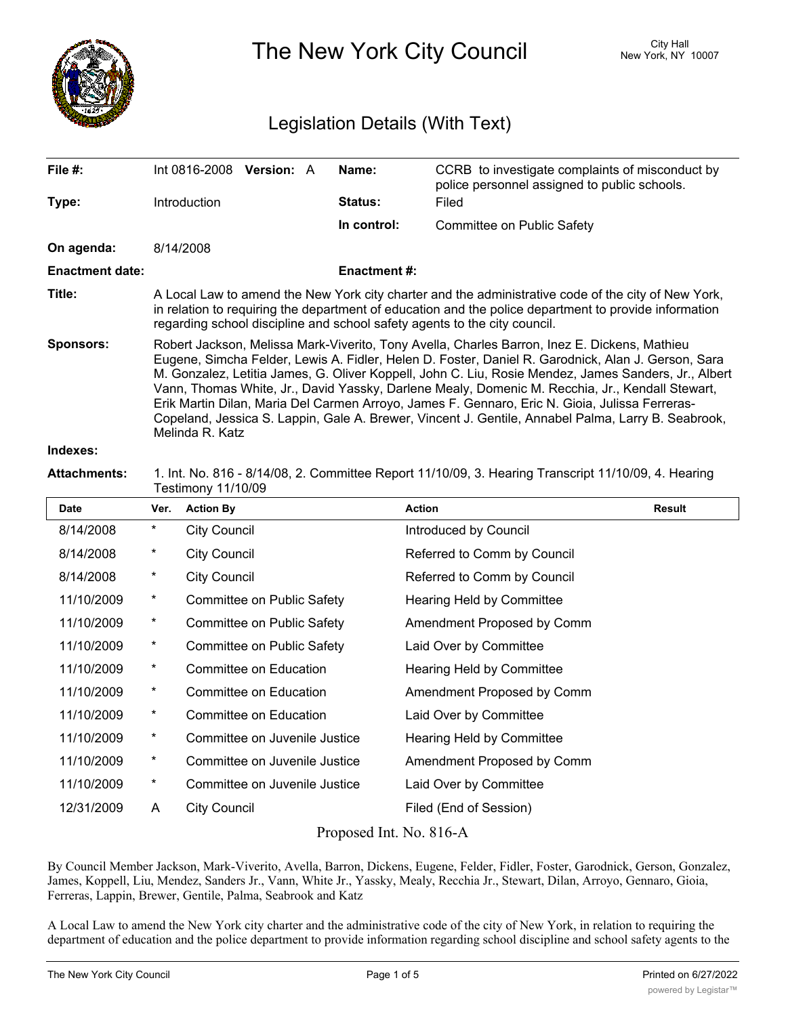

The New York City Council New York, NY 10007

# Legislation Details (With Text)

| File $#$ :             | Int 0816-2008                                                                                                                                                                                                                                                                                                                                                                                                                                                                                                                                                                                                                            | <b>Version: A</b> |  | Name:               | CCRB to investigate complaints of misconduct by<br>police personnel assigned to public schools. |  |  |
|------------------------|------------------------------------------------------------------------------------------------------------------------------------------------------------------------------------------------------------------------------------------------------------------------------------------------------------------------------------------------------------------------------------------------------------------------------------------------------------------------------------------------------------------------------------------------------------------------------------------------------------------------------------------|-------------------|--|---------------------|-------------------------------------------------------------------------------------------------|--|--|
| Type:                  | Introduction                                                                                                                                                                                                                                                                                                                                                                                                                                                                                                                                                                                                                             |                   |  | <b>Status:</b>      | Filed                                                                                           |  |  |
|                        |                                                                                                                                                                                                                                                                                                                                                                                                                                                                                                                                                                                                                                          |                   |  | In control:         | Committee on Public Safety                                                                      |  |  |
| On agenda:             | 8/14/2008                                                                                                                                                                                                                                                                                                                                                                                                                                                                                                                                                                                                                                |                   |  |                     |                                                                                                 |  |  |
| <b>Enactment date:</b> |                                                                                                                                                                                                                                                                                                                                                                                                                                                                                                                                                                                                                                          |                   |  | <b>Enactment #:</b> |                                                                                                 |  |  |
| Title:                 | A Local Law to amend the New York city charter and the administrative code of the city of New York,<br>in relation to requiring the department of education and the police department to provide information<br>regarding school discipline and school safety agents to the city council.                                                                                                                                                                                                                                                                                                                                                |                   |  |                     |                                                                                                 |  |  |
| Sponsors:              | Robert Jackson, Melissa Mark-Viverito, Tony Avella, Charles Barron, Inez E. Dickens, Mathieu<br>Eugene, Simcha Felder, Lewis A. Fidler, Helen D. Foster, Daniel R. Garodnick, Alan J. Gerson, Sara<br>M. Gonzalez, Letitia James, G. Oliver Koppell, John C. Liu, Rosie Mendez, James Sanders, Jr., Albert<br>Vann, Thomas White, Jr., David Yassky, Darlene Mealy, Domenic M. Recchia, Jr., Kendall Stewart,<br>Erik Martin Dilan, Maria Del Carmen Arroyo, James F. Gennaro, Eric N. Gioia, Julissa Ferreras-<br>Copeland, Jessica S. Lappin, Gale A. Brewer, Vincent J. Gentile, Annabel Palma, Larry B. Seabrook,<br>Melinda R. Katz |                   |  |                     |                                                                                                 |  |  |
| Indovoe:               |                                                                                                                                                                                                                                                                                                                                                                                                                                                                                                                                                                                                                                          |                   |  |                     |                                                                                                 |  |  |

#### **Indexes:**

#### **Attachments:** 1. Int. No. 816 - 8/14/08, 2. Committee Report 11/10/09, 3. Hearing Transcript 11/10/09, 4. Hearing Testimony 11/10/09

| <b>Date</b> | Ver.     | <b>Action By</b>              | <b>Action</b>               | Result |
|-------------|----------|-------------------------------|-----------------------------|--------|
| 8/14/2008   | $^\star$ | <b>City Council</b>           | Introduced by Council       |        |
| 8/14/2008   | $^\star$ | <b>City Council</b>           | Referred to Comm by Council |        |
| 8/14/2008   | $^\star$ | <b>City Council</b>           | Referred to Comm by Council |        |
| 11/10/2009  | $\star$  | Committee on Public Safety    | Hearing Held by Committee   |        |
| 11/10/2009  | $^\star$ | Committee on Public Safety    | Amendment Proposed by Comm  |        |
| 11/10/2009  | $\star$  | Committee on Public Safety    | Laid Over by Committee      |        |
| 11/10/2009  | $\ast$   | Committee on Education        | Hearing Held by Committee   |        |
| 11/10/2009  | $\star$  | Committee on Education        | Amendment Proposed by Comm  |        |
| 11/10/2009  | $\star$  | Committee on Education        | Laid Over by Committee      |        |
| 11/10/2009  | $\star$  | Committee on Juvenile Justice | Hearing Held by Committee   |        |
| 11/10/2009  | $\star$  | Committee on Juvenile Justice | Amendment Proposed by Comm  |        |
| 11/10/2009  | $\star$  | Committee on Juvenile Justice | Laid Over by Committee      |        |
| 12/31/2009  | A        | <b>City Council</b>           | Filed (End of Session)      |        |
|             |          |                               |                             |        |

Proposed Int. No. 816-A

By Council Member Jackson, Mark-Viverito, Avella, Barron, Dickens, Eugene, Felder, Fidler, Foster, Garodnick, Gerson, Gonzalez, James, Koppell, Liu, Mendez, Sanders Jr., Vann, White Jr., Yassky, Mealy, Recchia Jr., Stewart, Dilan, Arroyo, Gennaro, Gioia, Ferreras, Lappin, Brewer, Gentile, Palma, Seabrook and Katz

A Local Law to amend the New York city charter and the administrative code of the city of New York, in relation to requiring the department of education and the police department to provide information regarding school discipline and school safety agents to the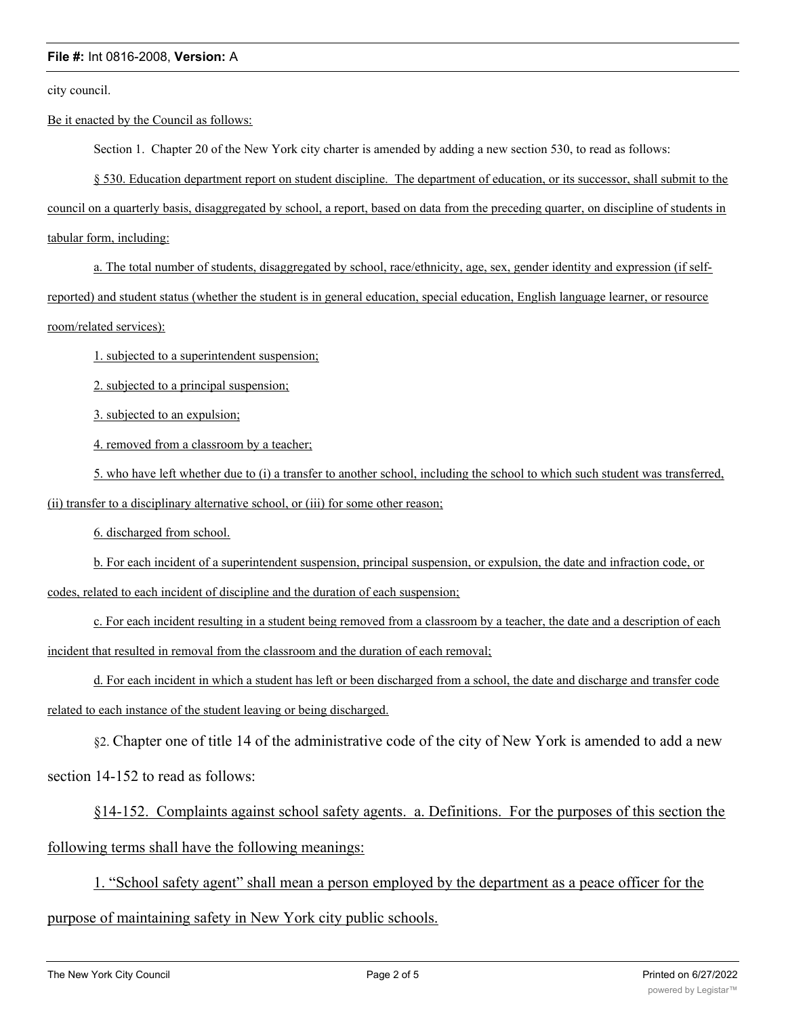city council.

Be it enacted by the Council as follows:

Section 1. Chapter 20 of the New York city charter is amended by adding a new section 530, to read as follows:

§ 530. Education department report on student discipline. The department of education, or its successor, shall submit to the council on a quarterly basis, disaggregated by school, a report, based on data from the preceding quarter, on discipline of students in tabular form, including:

a. The total number of students, disaggregated by school, race/ethnicity, age, sex, gender identity and expression (if selfreported) and student status (whether the student is in general education, special education, English language learner, or resource room/related services):

1. subjected to a superintendent suspension;

2. subjected to a principal suspension;

3. subjected to an expulsion;

4. removed from a classroom by a teacher;

5. who have left whether due to (i) a transfer to another school, including the school to which such student was transferred, (ii) transfer to a disciplinary alternative school, or (iii) for some other reason;

6. discharged from school.

b. For each incident of a superintendent suspension, principal suspension, or expulsion, the date and infraction code, or codes, related to each incident of discipline and the duration of each suspension;

c. For each incident resulting in a student being removed from a classroom by a teacher, the date and a description of each incident that resulted in removal from the classroom and the duration of each removal;

d. For each incident in which a student has left or been discharged from a school, the date and discharge and transfer code related to each instance of the student leaving or being discharged.

§2. Chapter one of title 14 of the administrative code of the city of New York is amended to add a new

section 14-152 to read as follows:

§14-152. Complaints against school safety agents. a. Definitions. For the purposes of this section the following terms shall have the following meanings:

1. "School safety agent" shall mean a person employed by the department as a peace officer for the purpose of maintaining safety in New York city public schools.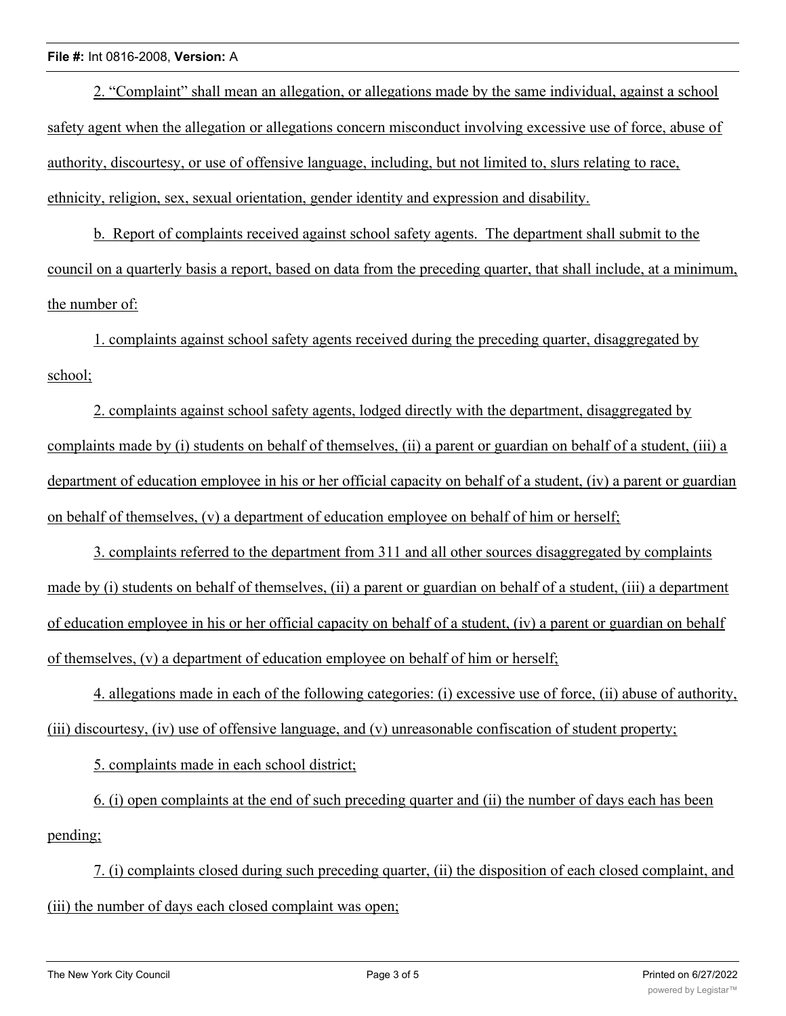2. "Complaint" shall mean an allegation, or allegations made by the same individual, against a school safety agent when the allegation or allegations concern misconduct involving excessive use of force, abuse of authority, discourtesy, or use of offensive language, including, but not limited to, slurs relating to race, ethnicity, religion, sex, sexual orientation, gender identity and expression and disability.

b. Report of complaints received against school safety agents. The department shall submit to the council on a quarterly basis a report, based on data from the preceding quarter, that shall include, at a minimum, the number of:

1. complaints against school safety agents received during the preceding quarter, disaggregated by school;

2. complaints against school safety agents, lodged directly with the department, disaggregated by complaints made by (i) students on behalf of themselves, (ii) a parent or guardian on behalf of a student, (iii) a department of education employee in his or her official capacity on behalf of a student, (iv) a parent or guardian on behalf of themselves, (v) a department of education employee on behalf of him or herself;

3. complaints referred to the department from 311 and all other sources disaggregated by complaints made by (i) students on behalf of themselves, (ii) a parent or guardian on behalf of a student, (iii) a department of education employee in his or her official capacity on behalf of a student, (iv) a parent or guardian on behalf of themselves, (v) a department of education employee on behalf of him or herself;

4. allegations made in each of the following categories: (i) excessive use of force, (ii) abuse of authority, (iii) discourtesy, (iv) use of offensive language, and (v) unreasonable confiscation of student property;

5. complaints made in each school district;

6. (i) open complaints at the end of such preceding quarter and (ii) the number of days each has been pending;

7. (i) complaints closed during such preceding quarter, (ii) the disposition of each closed complaint, and (iii) the number of days each closed complaint was open;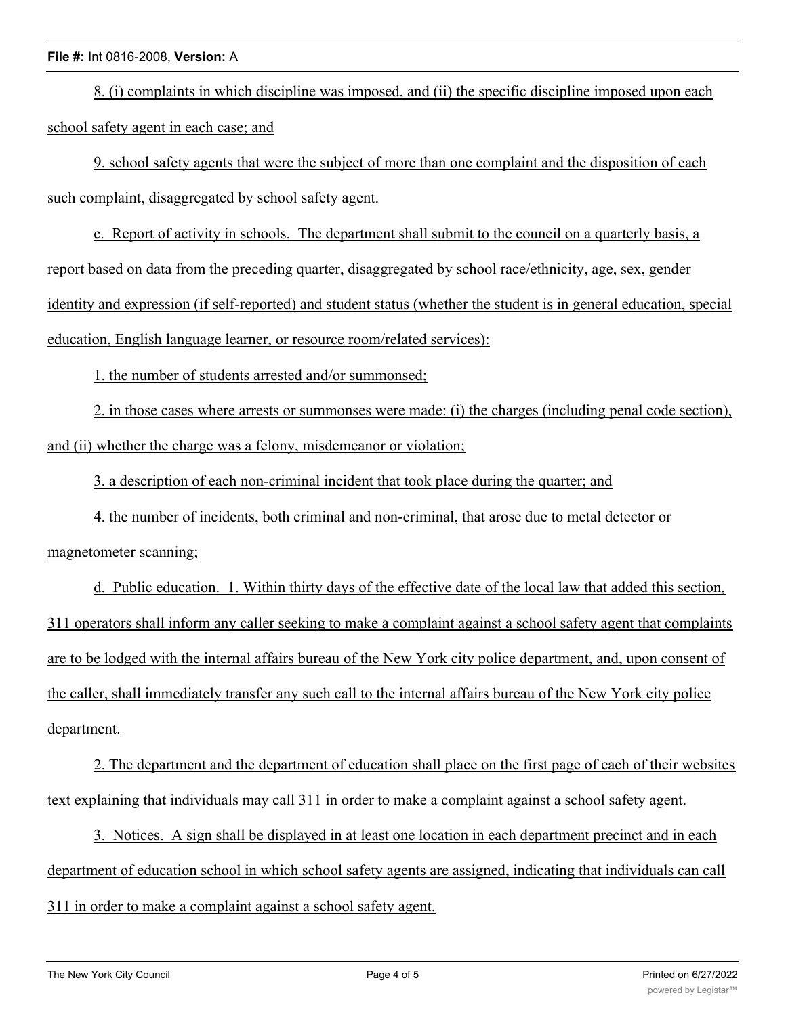8. (i) complaints in which discipline was imposed, and (ii) the specific discipline imposed upon each school safety agent in each case; and

9. school safety agents that were the subject of more than one complaint and the disposition of each such complaint, disaggregated by school safety agent.

c. Report of activity in schools. The department shall submit to the council on a quarterly basis, a report based on data from the preceding quarter, disaggregated by school race/ethnicity, age, sex, gender identity and expression (if self-reported) and student status (whether the student is in general education, special education, English language learner, or resource room/related services):

1. the number of students arrested and/or summonsed;

2. in those cases where arrests or summonses were made: (i) the charges (including penal code section), and (ii) whether the charge was a felony, misdemeanor or violation;

3. a description of each non-criminal incident that took place during the quarter; and

4. the number of incidents, both criminal and non-criminal, that arose due to metal detector or

magnetometer scanning;

d. Public education. 1. Within thirty days of the effective date of the local law that added this section, 311 operators shall inform any caller seeking to make a complaint against a school safety agent that complaints are to be lodged with the internal affairs bureau of the New York city police department, and, upon consent of the caller, shall immediately transfer any such call to the internal affairs bureau of the New York city police department.

2. The department and the department of education shall place on the first page of each of their websites text explaining that individuals may call 311 in order to make a complaint against a school safety agent.

3. Notices. A sign shall be displayed in at least one location in each department precinct and in each department of education school in which school safety agents are assigned, indicating that individuals can call 311 in order to make a complaint against a school safety agent.